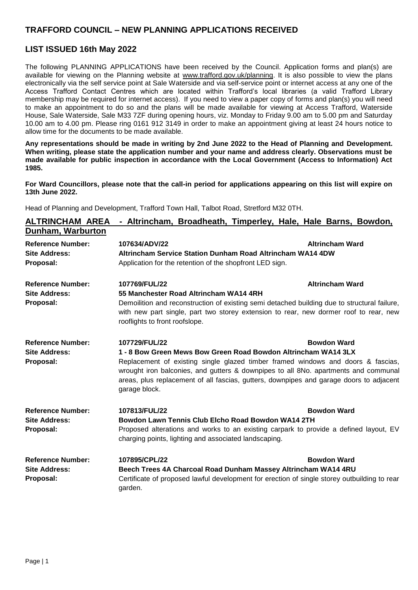## **TRAFFORD COUNCIL – NEW PLANNING APPLICATIONS RECEIVED**

## **LIST ISSUED 16th May 2022**

The following PLANNING APPLICATIONS have been received by the Council. Application forms and plan(s) are available for viewing on the Planning website at [www.trafford.gov.uk/planning.](http://www.trafford.gov.uk/planning) It is also possible to view the plans electronically via the self service point at Sale Waterside and via self-service point or internet access at any one of the Access Trafford Contact Centres which are located within Trafford's local libraries (a valid Trafford Library membership may be required for internet access). If you need to view a paper copy of forms and plan(s) you will need to make an appointment to do so and the plans will be made available for viewing at Access Trafford, Waterside House, Sale Waterside, Sale M33 7ZF during opening hours, viz. Monday to Friday 9.00 am to 5.00 pm and Saturday 10.00 am to 4.00 pm. Please ring 0161 912 3149 in order to make an appointment giving at least 24 hours notice to allow time for the documents to be made available.

**Any representations should be made in writing by 2nd June 2022 to the Head of Planning and Development. When writing, please state the application number and your name and address clearly. Observations must be made available for public inspection in accordance with the Local Government (Access to Information) Act 1985.**

**For Ward Councillors, please note that the call-in period for applications appearing on this list will expire on 13th June 2022.**

Head of Planning and Development, Trafford Town Hall, Talbot Road, Stretford M32 0TH.

| <b>ALTRINCHAM AREA</b>                                        | - Altrincham, Broadheath, Timperley, Hale, Hale Barns, Bowdon,                                                                                                                                                                                                                      |                        |
|---------------------------------------------------------------|-------------------------------------------------------------------------------------------------------------------------------------------------------------------------------------------------------------------------------------------------------------------------------------|------------------------|
| Dunham, Warburton                                             |                                                                                                                                                                                                                                                                                     |                        |
| <b>Reference Number:</b><br><b>Site Address:</b><br>Proposal: | 107634/ADV/22<br>Altrincham Service Station Dunham Road Altrincham WA14 4DW<br>Application for the retention of the shopfront LED sign.                                                                                                                                             | <b>Altrincham Ward</b> |
| <b>Reference Number:</b>                                      | 107769/FUL/22                                                                                                                                                                                                                                                                       | <b>Altrincham Ward</b> |
| <b>Site Address:</b><br>Proposal:                             | 55 Manchester Road Altrincham WA14 4RH<br>Demoilition and reconstruction of existing semi detached building due to structural failure,<br>with new part single, part two storey extension to rear, new dormer roof to rear, new<br>rooflights to front roofslope.                   |                        |
| <b>Reference Number:</b><br><b>Site Address:</b>              | 107729/FUL/22<br>1 - 8 Bow Green Mews Bow Green Road Bowdon Altrincham WA14 3LX                                                                                                                                                                                                     | <b>Bowdon Ward</b>     |
| Proposal:                                                     | Replacement of existing single glazed timber framed windows and doors & fascias,<br>wrought iron balconies, and gutters & downpipes to all 8No. apartments and communal<br>areas, plus replacement of all fascias, gutters, downpipes and garage doors to adjacent<br>garage block. |                        |
| <b>Reference Number:</b>                                      | 107813/FUL/22                                                                                                                                                                                                                                                                       | <b>Bowdon Ward</b>     |
| <b>Site Address:</b><br>Proposal:                             | Bowdon Lawn Tennis Club Elcho Road Bowdon WA14 2TH<br>Proposed alterations and works to an existing carpark to provide a defined layout, EV<br>charging points, lighting and associated landscaping.                                                                                |                        |
| <b>Reference Number:</b><br><b>Site Address:</b><br>Proposal: | 107895/CPL/22<br>Beech Trees 4A Charcoal Road Dunham Massey Altrincham WA14 4RU<br>Certificate of proposed lawful development for erection of single storey outbuilding to rear<br>garden.                                                                                          | <b>Bowdon Ward</b>     |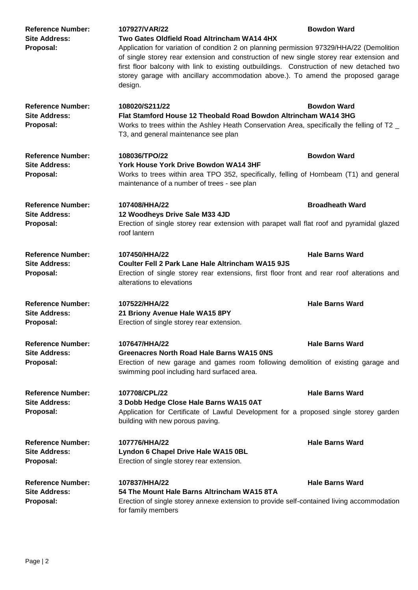| <b>Reference Number:</b><br><b>Site Address:</b><br>Proposal: | 107927/VAR/22<br>Two Gates Oldfield Road Altrincham WA14 4HX<br>Application for variation of condition 2 on planning permission 97329/HHA/22 (Demolition<br>of single storey rear extension and construction of new single storey rear extension and<br>first floor balcony with link to existing outbuildings. Construction of new detached two<br>storey garage with ancillary accommodation above.). To amend the proposed garage<br>design. | <b>Bowdon Ward</b>     |
|---------------------------------------------------------------|-------------------------------------------------------------------------------------------------------------------------------------------------------------------------------------------------------------------------------------------------------------------------------------------------------------------------------------------------------------------------------------------------------------------------------------------------|------------------------|
| <b>Reference Number:</b><br><b>Site Address:</b><br>Proposal: | 108020/S211/22<br>Flat Stamford House 12 Theobald Road Bowdon Altrincham WA14 3HG<br>Works to trees within the Ashley Heath Conservation Area, specifically the felling of T2 _<br>T3, and general maintenance see plan                                                                                                                                                                                                                         | <b>Bowdon Ward</b>     |
| <b>Reference Number:</b><br><b>Site Address:</b><br>Proposal: | 108036/TPO/22<br><b>York House York Drive Bowdon WA14 3HF</b><br>Works to trees within area TPO 352, specifically, felling of Hornbeam (T1) and general<br>maintenance of a number of trees - see plan                                                                                                                                                                                                                                          | <b>Bowdon Ward</b>     |
| <b>Reference Number:</b><br><b>Site Address:</b><br>Proposal: | 107408/HHA/22<br>12 Woodheys Drive Sale M33 4JD<br>Erection of single storey rear extension with parapet wall flat roof and pyramidal glazed<br>roof lantern                                                                                                                                                                                                                                                                                    | <b>Broadheath Ward</b> |
| <b>Reference Number:</b><br><b>Site Address:</b><br>Proposal: | 107450/HHA/22<br><b>Coulter Fell 2 Park Lane Hale Altrincham WA15 9JS</b><br>Erection of single storey rear extensions, first floor front and rear roof alterations and<br>alterations to elevations                                                                                                                                                                                                                                            | <b>Hale Barns Ward</b> |
| <b>Reference Number:</b><br><b>Site Address:</b><br>Proposal: | 107522/HHA/22<br>21 Briony Avenue Hale WA15 8PY<br>Erection of single storey rear extension.                                                                                                                                                                                                                                                                                                                                                    | <b>Hale Barns Ward</b> |
| <b>Reference Number:</b><br><b>Site Address:</b><br>Proposal: | 107647/HHA/22<br><b>Greenacres North Road Hale Barns WA15 0NS</b><br>Erection of new garage and games room following demolition of existing garage and<br>swimming pool including hard surfaced area.                                                                                                                                                                                                                                           | <b>Hale Barns Ward</b> |
| <b>Reference Number:</b><br><b>Site Address:</b><br>Proposal: | 107708/CPL/22<br>3 Dobb Hedge Close Hale Barns WA15 0AT<br>Application for Certificate of Lawful Development for a proposed single storey garden<br>building with new porous paving.                                                                                                                                                                                                                                                            | <b>Hale Barns Ward</b> |
| <b>Reference Number:</b><br><b>Site Address:</b><br>Proposal: | 107776/HHA/22<br>Lyndon 6 Chapel Drive Hale WA15 0BL<br>Erection of single storey rear extension.                                                                                                                                                                                                                                                                                                                                               | <b>Hale Barns Ward</b> |
| <b>Reference Number:</b><br><b>Site Address:</b><br>Proposal: | 107837/HHA/22<br>54 The Mount Hale Barns Altrincham WA15 8TA<br>Erection of single storey annexe extension to provide self-contained living accommodation<br>for family members                                                                                                                                                                                                                                                                 | <b>Hale Barns Ward</b> |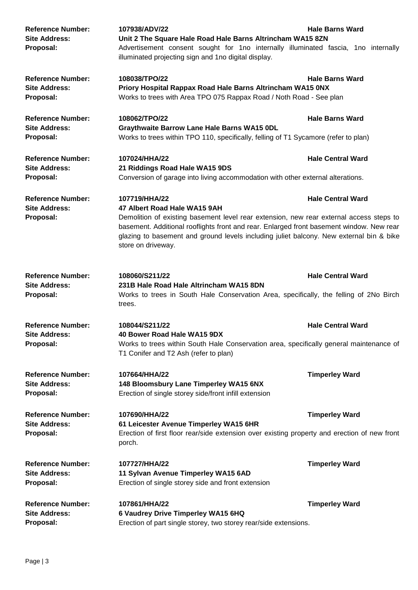| <b>Reference Number:</b><br><b>Site Address:</b><br>Proposal: | 107938/ADV/22<br>Unit 2 The Square Hale Road Hale Barns Altrincham WA15 8ZN<br>Advertisement consent sought for 1no internally illuminated fascia, 1no internally<br>illuminated projecting sign and 1no digital display.                                                                                                                             | <b>Hale Barns Ward</b>   |
|---------------------------------------------------------------|-------------------------------------------------------------------------------------------------------------------------------------------------------------------------------------------------------------------------------------------------------------------------------------------------------------------------------------------------------|--------------------------|
| <b>Reference Number:</b><br><b>Site Address:</b><br>Proposal: | 108038/TPO/22<br>Priory Hospital Rappax Road Hale Barns Altrincham WA15 0NX<br>Works to trees with Area TPO 075 Rappax Road / Noth Road - See plan                                                                                                                                                                                                    | <b>Hale Barns Ward</b>   |
| <b>Reference Number:</b><br><b>Site Address:</b><br>Proposal: | 108062/TPO/22<br>Graythwaite Barrow Lane Hale Barns WA15 0DL<br>Works to trees within TPO 110, specifically, felling of T1 Sycamore (refer to plan)                                                                                                                                                                                                   | <b>Hale Barns Ward</b>   |
| <b>Reference Number:</b><br><b>Site Address:</b><br>Proposal: | 107024/HHA/22<br>21 Riddings Road Hale WA15 9DS<br>Conversion of garage into living accommodation with other external alterations.                                                                                                                                                                                                                    | <b>Hale Central Ward</b> |
| <b>Reference Number:</b><br><b>Site Address:</b><br>Proposal: | 107719/HHA/22<br>47 Albert Road Hale WA15 9AH<br>Demolition of existing basement level rear extension, new rear external access steps to<br>basement. Additional rooflights front and rear. Enlarged front basement window. New rear<br>glazing to basement and ground levels including juliet balcony. New external bin & bike<br>store on driveway. | <b>Hale Central Ward</b> |
| <b>Reference Number:</b><br><b>Site Address:</b><br>Proposal: | 108060/S211/22<br>231B Hale Road Hale Altrincham WA15 8DN<br>Works to trees in South Hale Conservation Area, specifically, the felling of 2No Birch<br>trees.                                                                                                                                                                                         | <b>Hale Central Ward</b> |
| <b>Reference Number:</b><br><b>Site Address:</b><br>Proposal: | 108044/S211/22<br>40 Bower Road Hale WA15 9DX<br>Works to trees within South Hale Conservation area, specifically general maintenance of<br>T1 Conifer and T2 Ash (refer to plan)                                                                                                                                                                     | <b>Hale Central Ward</b> |
| <b>Reference Number:</b><br><b>Site Address:</b><br>Proposal: | 107664/HHA/22<br>148 Bloomsbury Lane Timperley WA15 6NX<br>Erection of single storey side/front infill extension                                                                                                                                                                                                                                      | <b>Timperley Ward</b>    |
| <b>Reference Number:</b><br><b>Site Address:</b><br>Proposal: | 107690/HHA/22<br>61 Leicester Avenue Timperley WA15 6HR<br>Erection of first floor rear/side extension over existing property and erection of new front<br>porch.                                                                                                                                                                                     | <b>Timperley Ward</b>    |
| <b>Reference Number:</b><br><b>Site Address:</b><br>Proposal: | 107727/HHA/22<br>11 Sylvan Avenue Timperley WA15 6AD<br>Erection of single storey side and front extension                                                                                                                                                                                                                                            | <b>Timperley Ward</b>    |
| <b>Reference Number:</b><br><b>Site Address:</b><br>Proposal: | 107861/HHA/22<br>6 Vaudrey Drive Timperley WA15 6HQ<br>Erection of part single storey, two storey rear/side extensions.                                                                                                                                                                                                                               | <b>Timperley Ward</b>    |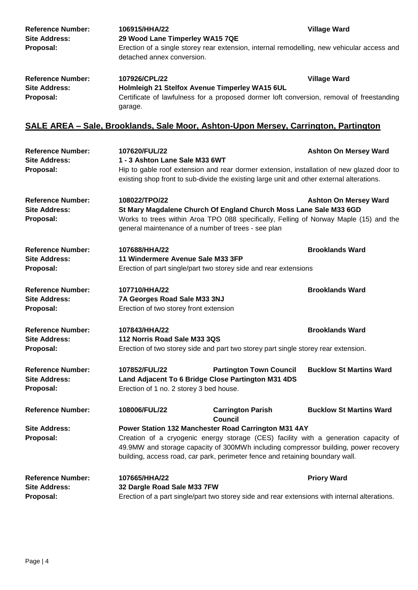| <b>Reference Number:</b><br><b>Site Address:</b> | 106915/HHA/22<br>29 Wood Lane Timperley WA15 7QE                                                                         | <b>Village Ward</b> |  |
|--------------------------------------------------|--------------------------------------------------------------------------------------------------------------------------|---------------------|--|
| Proposal:                                        | Erection of a single storey rear extension, internal remodelling, new vehicular access and<br>detached annex conversion. |                     |  |
| <b>Reference Number:</b>                         | 107926/CPL/22                                                                                                            | <b>Village Ward</b> |  |
| <b>Site Address:</b>                             | Holmleigh 21 Stelfox Avenue Timperley WA15 6UL                                                                           |                     |  |
| Proposal:                                        | Certificate of lawfulness for a proposed dormer loft conversion, removal of freestanding<br>garage.                      |                     |  |

## **SALE AREA – Sale, Brooklands, Sale Moor, Ashton-Upon Mersey, Carrington, Partington**

| <b>Reference Number:</b><br><b>Site Address:</b>              | 107620/FUL/22<br>1 - 3 Ashton Lane Sale M33 6WT                                                                                                                                                                                                                                                                     |                                                                                                                                                                                        | <b>Ashton On Mersey Ward</b>   |
|---------------------------------------------------------------|---------------------------------------------------------------------------------------------------------------------------------------------------------------------------------------------------------------------------------------------------------------------------------------------------------------------|----------------------------------------------------------------------------------------------------------------------------------------------------------------------------------------|--------------------------------|
| Proposal:                                                     |                                                                                                                                                                                                                                                                                                                     | Hip to gable roof extension and rear dormer extension, installation of new glazed door to<br>existing shop front to sub-divide the existing large unit and other external alterations. |                                |
| <b>Reference Number:</b><br><b>Site Address:</b>              | 108022/TPO/22                                                                                                                                                                                                                                                                                                       | St Mary Magdalene Church Of England Church Moss Lane Sale M33 6GD                                                                                                                      | <b>Ashton On Mersey Ward</b>   |
| Proposal:                                                     |                                                                                                                                                                                                                                                                                                                     | Works to trees within Aroa TPO 088 specifically, Felling of Norway Maple (15) and the<br>general maintenance of a number of trees - see plan                                           |                                |
| <b>Reference Number:</b><br><b>Site Address:</b>              | 107688/HHA/22<br>11 Windermere Avenue Sale M33 3FP                                                                                                                                                                                                                                                                  |                                                                                                                                                                                        | <b>Brooklands Ward</b>         |
| Proposal:                                                     | Erection of part single/part two storey side and rear extensions                                                                                                                                                                                                                                                    |                                                                                                                                                                                        |                                |
| <b>Reference Number:</b><br><b>Site Address:</b><br>Proposal: | 107710/HHA/22<br>7A Georges Road Sale M33 3NJ<br>Erection of two storey front extension                                                                                                                                                                                                                             |                                                                                                                                                                                        | <b>Brooklands Ward</b>         |
| <b>Reference Number:</b><br><b>Site Address:</b><br>Proposal: | 107843/HHA/22<br>112 Norris Road Sale M33 3QS                                                                                                                                                                                                                                                                       | Erection of two storey side and part two storey part single storey rear extension.                                                                                                     | <b>Brooklands Ward</b>         |
| <b>Reference Number:</b><br><b>Site Address:</b><br>Proposal: | 107852/FUL/22<br>Erection of 1 no. 2 storey 3 bed house.                                                                                                                                                                                                                                                            | <b>Partington Town Council</b><br>Land Adjacent To 6 Bridge Close Partington M31 4DS                                                                                                   | <b>Bucklow St Martins Ward</b> |
| <b>Reference Number:</b>                                      | 108006/FUL/22                                                                                                                                                                                                                                                                                                       | <b>Carrington Parish</b><br><b>Council</b>                                                                                                                                             | <b>Bucklow St Martins Ward</b> |
| <b>Site Address:</b><br>Proposal:                             | Power Station 132 Manchester Road Carrington M31 4AY<br>Creation of a cryogenic energy storage (CES) facility with a generation capacity of<br>49.9MW and storage capacity of 300MWh including compressor building, power recovery<br>building, access road, car park, perimeter fence and retaining boundary wall. |                                                                                                                                                                                        |                                |
| <b>Reference Number:</b><br><b>Site Address:</b><br>Proposal: | 107665/HHA/22<br>32 Dargle Road Sale M33 7FW                                                                                                                                                                                                                                                                        | Erection of a part single/part two storey side and rear extensions with internal alterations.                                                                                          | <b>Priory Ward</b>             |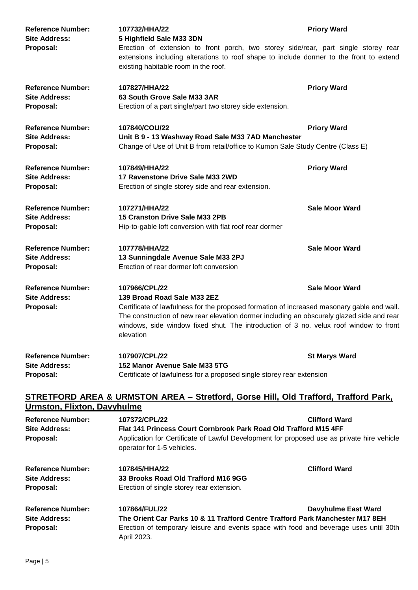| <b>Reference Number:</b><br><b>Site Address:</b><br>Proposal: | 107732/HHA/22<br>5 Highfield Sale M33 3DN<br>Erection of extension to front porch, two storey side/rear, part single storey rear<br>extensions including alterations to roof shape to include dormer to the front to extend<br>existing habitable room in the roof.                                                                           | <b>Priory Ward</b>    |
|---------------------------------------------------------------|-----------------------------------------------------------------------------------------------------------------------------------------------------------------------------------------------------------------------------------------------------------------------------------------------------------------------------------------------|-----------------------|
| <b>Reference Number:</b><br><b>Site Address:</b><br>Proposal: | 107827/HHA/22<br>63 South Grove Sale M33 3AR<br>Erection of a part single/part two storey side extension.                                                                                                                                                                                                                                     | <b>Priory Ward</b>    |
| <b>Reference Number:</b><br><b>Site Address:</b><br>Proposal: | 107840/COU/22<br>Unit B 9 - 13 Washway Road Sale M33 7AD Manchester<br>Change of Use of Unit B from retail/office to Kumon Sale Study Centre (Class E)                                                                                                                                                                                        | <b>Priory Ward</b>    |
| <b>Reference Number:</b><br><b>Site Address:</b><br>Proposal: | 107849/HHA/22<br>17 Ravenstone Drive Sale M33 2WD<br>Erection of single storey side and rear extension.                                                                                                                                                                                                                                       | <b>Priory Ward</b>    |
| <b>Reference Number:</b><br><b>Site Address:</b><br>Proposal: | 107271/HHA/22<br>15 Cranston Drive Sale M33 2PB<br>Hip-to-gable loft conversion with flat roof rear dormer                                                                                                                                                                                                                                    | <b>Sale Moor Ward</b> |
| <b>Reference Number:</b><br><b>Site Address:</b><br>Proposal: | 107778/HHA/22<br>13 Sunningdale Avenue Sale M33 2PJ<br>Erection of rear dormer loft conversion                                                                                                                                                                                                                                                | <b>Sale Moor Ward</b> |
| <b>Reference Number:</b><br><b>Site Address:</b><br>Proposal: | 107966/CPL/22<br>139 Broad Road Sale M33 2EZ<br>Certificate of lawfulness for the proposed formation of increased masonary gable end wall.<br>The construction of new rear elevation dormer including an obscurely glazed side and rear<br>windows, side window fixed shut. The introduction of 3 no. velux roof window to front<br>elevation | <b>Sale Moor Ward</b> |
| <b>Reference Number:</b><br><b>Site Address:</b><br>Proposal: | 107907/CPL/22<br>152 Manor Avenue Sale M33 5TG<br>Certificate of lawfulness for a proposed single storey rear extension                                                                                                                                                                                                                       | <b>St Marys Ward</b>  |
|                                                               | <b>STRETFORD AREA &amp; URMSTON AREA - Stretford, Gorse Hill, Old Trafford, Trafford Park,</b>                                                                                                                                                                                                                                                |                       |

## **Urmston, Flixton, Davyhulme**

| <b>Reference Number:</b><br><b>Site Address:</b><br>Proposal: | 107372/CPL/22<br>operator for 1-5 vehicles.                                                                   | <b>Clifford Ward</b><br>Flat 141 Princess Court Cornbrook Park Road Old Trafford M15 4FF<br>Application for Certificate of Lawful Development for proposed use as private hire vehicle |  |
|---------------------------------------------------------------|---------------------------------------------------------------------------------------------------------------|----------------------------------------------------------------------------------------------------------------------------------------------------------------------------------------|--|
| <b>Reference Number:</b><br><b>Site Address:</b><br>Proposal: | 107845/HHA/22<br>33 Brooks Road Old Trafford M16 9GG<br>Erection of single storey rear extension.             | <b>Clifford Ward</b>                                                                                                                                                                   |  |
| <b>Reference Number:</b><br><b>Site Address:</b><br>Proposal: | 107864/FUL/22<br>The Orient Car Parks 10 & 11 Trafford Centre Trafford Park Manchester M17 8EH<br>April 2023. | Davyhulme East Ward<br>Erection of temporary leisure and events space with food and beverage uses until 30th                                                                           |  |